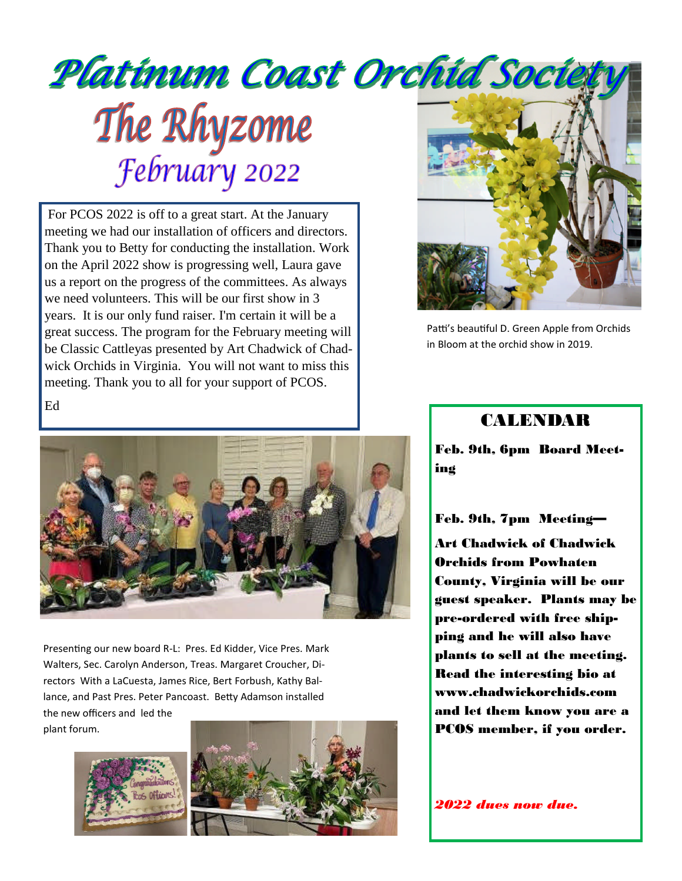# Platinum Coast Orchid Society The Rhyzome<br>February 2022

For PCOS 2022 is off to a great start. At the January meeting we had our installation of officers and directors. Thank you to Betty for conducting the installation. Work on the April 2022 show is progressing well, Laura gave us a report on the progress of the committees. As always we need volunteers. This will be our first show in 3 years. It is our only fund raiser. I'm certain it will be a great success. The program for the February meeting will be Classic Cattleyas presented by Art Chadwick of Chadwick Orchids in Virginia. You will not want to miss this meeting. Thank you to all for your support of PCOS. Ed



Patti's beautiful D. Green Apple from Orchids in Bloom at the orchid show in 2019.



Presenting our new board R-L: Pres. Ed Kidder, Vice Pres. Mark Walters, Sec. Carolyn Anderson, Treas. Margaret Croucher, Directors With a LaCuesta, James Rice, Bert Forbush, Kathy Ballance, and Past Pres. Peter Pancoast. Betty Adamson installed the new officers and led the

plant forum.





#### CALENDAR

Feb. 9th, 6pm Board Meeting

#### Feb. 9th, 7pm Meeting—

Art Chadwick of Chadwick Orchids from Powhaten County, Virginia will be our guest speaker. Plants may be pre-ordered with free shipping and he will also have plants to sell at the meeting. Read the interesting bio at www.chadwickorchids.com and let them know you are a PCOS member, if you order.

*2022 dues now due.*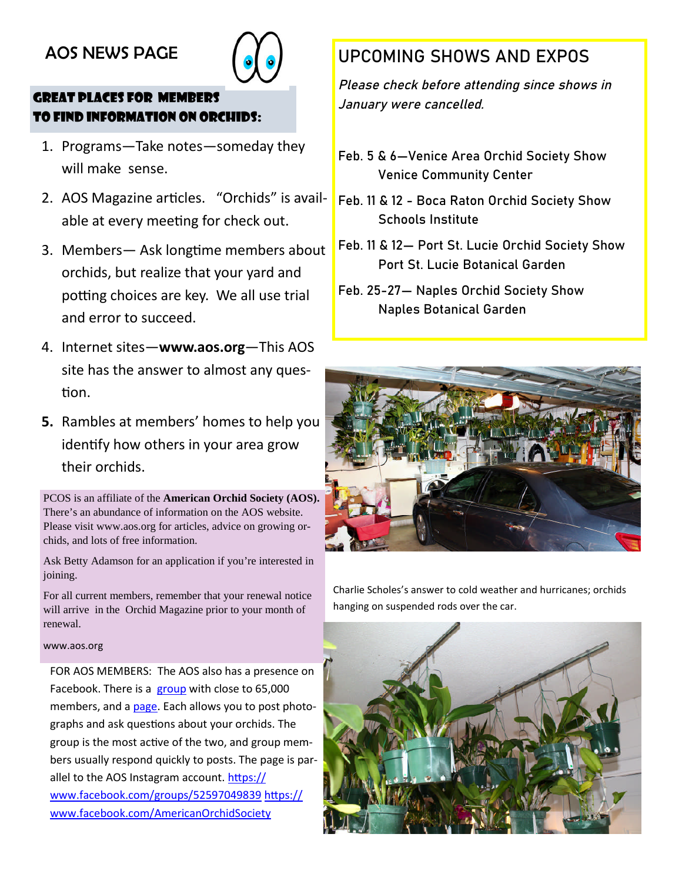# AOS NEWS PAGE



#### GREAT PLACES FOR MEMBERS TO FIND INFORMATION ON ORCHIDS:

- 1. Programs—Take notes—someday they will make sense.
- 2. AOS Magazine articles. "Orchids" is available at every meeting for check out.
- 3. Members— Ask longtime members about orchids, but realize that your yard and potting choices are key. We all use trial and error to succeed.
- 4. Internet sites—**www.aos.org**—This AOS site has the answer to almost any question.
- **5.** Rambles at members' homes to help you identify how others in your area grow their orchids.

PCOS is an affiliate of the **American Orchid Society (AOS).** There's an abundance of information on the AOS website. Please visit www.aos.org for articles, advice on growing orchids, and lots of free information.

Ask Betty Adamson for an application if you're interested in joining.

For all current members, remember that your renewal notice will arrive in the Orchid Magazine prior to your month of renewal.

#### www.aos.org

FOR AOS MEMBERS: The AOS also has a presence on Facebook. There is a group with close to 65,000 members, and a page. Each allows you to post photographs and ask questions about your orchids. The group is the most active of the two, and group members usually respond quickly to posts. The page is parallel to the AOS Instagram account. https:// www.facebook.com/groups/52597049839 https:// www.facebook.com/AmericanOrchidSociety

## **UPCOMING SHOWS AND EXPOS**

**Please check before attending since shows in January were cancelled.**

- **Feb. 5 & 6—Venice Area Orchid Society Show Venice Community Center**
- **Feb. 11 & 12 - Boca Raton Orchid Society Show Schools Institute**
- **Feb. 11 & 12— Port St. Lucie Orchid Society Show Port St. Lucie Botanical Garden**
- **Feb. 25-27— Naples Orchid Society Show Naples Botanical Garden**



Charlie Scholes's answer to cold weather and hurricanes; orchids hanging on suspended rods over the car.

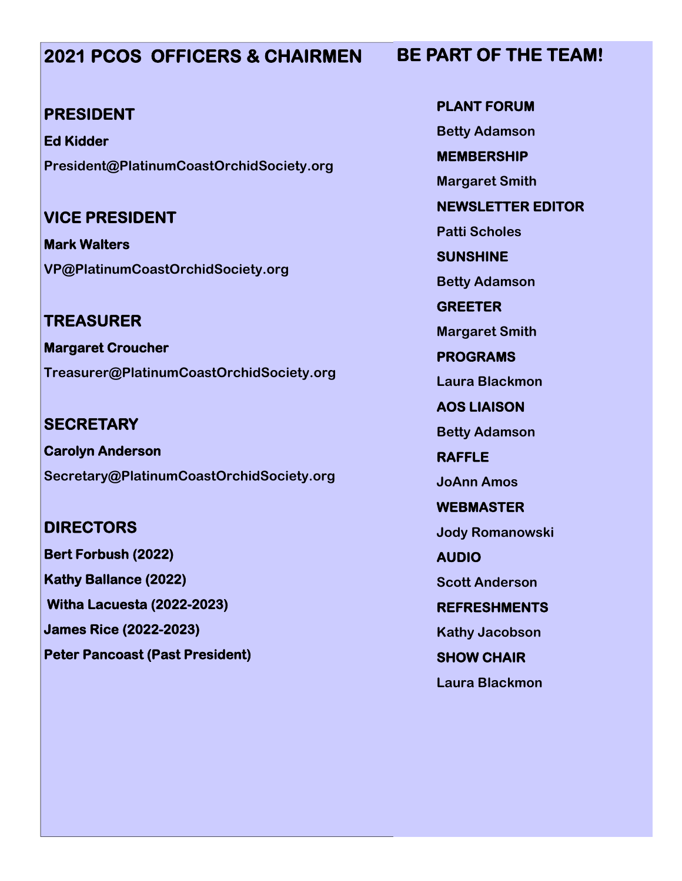# **2021 PCOS OFFICERS & CHAIRMEN**

#### **PRESIDENT**

**Ed Kidder President@PlatinumCoastOrchidSociety.org**

### **VICE PRESIDENT**

**Mark Walters VP@PlatinumCoastOrchidSociety.org**

**TREASURER Margaret Croucher Treasurer@PlatinumCoastOrchidSociety.org**

**SECRETARY Carolyn Anderson Secretary@PlatinumCoastOrchidSociety.org**

# **DIRECTORS Bert Forbush (2022) Kathy Ballance (2022) Witha Lacuesta (2022-2023) James Rice (2022-2023) Peter Pancoast (Past President)**

**PLANT FORUM Betty Adamson MEMBERSHIP Margaret Smith NEWSLETTER EDITOR Patti Scholes SUNSHINE Betty Adamson GREETER Margaret Smith PROGRAMS Laura Blackmon AOS LIAISON Betty Adamson RAFFLE JoAnn Amos WEBMASTER Jody Romanowski AUDIO Scott Anderson REFRESHMENTS Kathy Jacobson SHOW CHAIR Laura Blackmon**

**BE PART OF THE TEAM!**